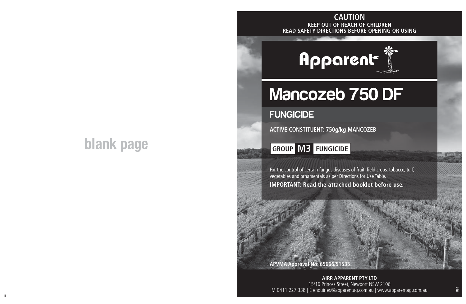# **blank page**

#### **KEEP OUT OF REACH OF CHILDREN READ SAFETY DIRECTIONS BEFORE OPENING OR USING CAUTION**



# Mancozeb 750 DF

# **FUNGICIDE**

**ACTIVE CONSTITUENT: 750g/kg MANCOZEB**

**GROUP M3 FUNGICIDE**

For the control of certain fungus diseases of fruit, field crops, tobacco, turf, vegetables and ornamentals as per Directions for Use Table. **IMPORTANT: Read the attached booklet before use.**

### **APVMA Approval No: 65666/51535**

ii aastad ka ka maanaa ka maanaa ka maanaa ka maanaa ka maanaa ka maanaa ka maanaa ka maanaa maanaa ka maanaa<br>Ii **AIRR APPARENT PTY LTD** 15/16 Princes Street, Newport NSW 2106 M 0411 227 338 | E enquiries@apparentag.com.au | www.apparentag.com.au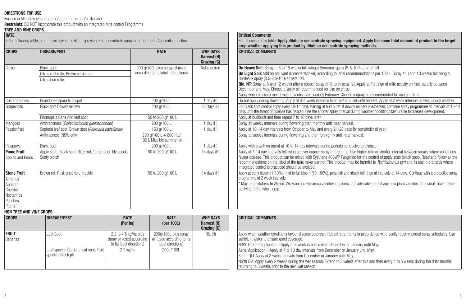#### **DIRECTIONS FOR USE**

For use in All states where appropriate for crop and/or disease.

**Restraints:** DO NOT incorporate this product with an Integrated Mite control Programme. **TREE AND VINE CROPS RATE**

In the following table, all rates are given for dilute spraying. For concentrate spraying, refer to the Application section.

|                                                                                          |                                                                             |                                                                         |                                               | crup writerier applying this product by unute or concentrate spraying incurous.                                                                                                                                                                                                                                                                                                                                                                                                                                                                                                                                                                   |
|------------------------------------------------------------------------------------------|-----------------------------------------------------------------------------|-------------------------------------------------------------------------|-----------------------------------------------|---------------------------------------------------------------------------------------------------------------------------------------------------------------------------------------------------------------------------------------------------------------------------------------------------------------------------------------------------------------------------------------------------------------------------------------------------------------------------------------------------------------------------------------------------------------------------------------------------------------------------------------------------|
| <b>CROPS</b>                                                                             | <b>DISEASE/PEST</b>                                                         | <b>RATE</b>                                                             | <b>WHP DAYS</b><br>Harvest (H)<br>Grazing (G) | <b>CRITICAL COMMENTS</b>                                                                                                                                                                                                                                                                                                                                                                                                                                                                                                                                                                                                                          |
| Citrus                                                                                   | <b>Black spot</b><br>Citrus rust mite. Brown citrus mite<br>Citrus bud mite | 200 g/100L plus spray oil (used<br>according to its label instructions) | Not required                                  | <b>On Heavy Soil:</b> Spray at 8 to 15 weeks following a Bordeaux spray (5-5-100) at petal fall.<br><b>On Light Soil:</b> Add an adjuvant (spreader/sticker) according to label recommendations per 100 L. Spray at 6 and 13 weeks following a<br>Bordeaux spray (3.5-3.5-100) at petal fall.<br><b>QId, NT:</b> Spray at 6 and 12 weeks after a copper spray at 1/2 to 3/4 petal fall. Apply at first sign of mite activity on fruit, usually between<br>December and May. Choose a spray oil recommended for use on citrus.<br>Apply when blossom malformation is observed, usually February. Choose a spray oil recommended for use on citrus. |
| Custard apples                                                                           | Psuedocerospora fruit spot                                                  | 200 g/100 L                                                             | 1 day $(H)$                                   | Do not apply during flowering. Apply at 3-4 week intervals from first fruit set until harvest. Apply at 2 week intervals in wet, cloudy weather.                                                                                                                                                                                                                                                                                                                                                                                                                                                                                                  |
| Grapevines                                                                               | Black spot Downy mildew                                                     | 200 a/100 L                                                             | 30 Days (H)                                   | For Black spot control apply every 10-14 days starting at bud burst. If downy mildew is expected, continue spray programme at intervals of 10-14<br>days until the threat of disease has passed. Use the shorter spray interval during weather conditions favourable to disease development.                                                                                                                                                                                                                                                                                                                                                      |
|                                                                                          | Phomopsis Cane And leaf spot                                                | 150 to 200 g/100 L                                                      |                                               | Apply at budburst and then repeat 7 to 10 days later.                                                                                                                                                                                                                                                                                                                                                                                                                                                                                                                                                                                             |
| Mangoes                                                                                  | Anthrancnose (Collectotrichum gloeosporiodes)                               | 200 a/100 L                                                             | 1 day (H)                                     | Spray at weekly intervals during flowering then monthly until near harvest.                                                                                                                                                                                                                                                                                                                                                                                                                                                                                                                                                                       |
| Passionfruit                                                                             | Septoria leaf spot. Brown spot (Alternaria passiflorae)                     | 150 a/100 L                                                             | 1 day $(H)$                                   | Apply at 10-14 day intervals from October to May and every 21-28 days for remainder of year.                                                                                                                                                                                                                                                                                                                                                                                                                                                                                                                                                      |
|                                                                                          | Anthracnose (NSW only)                                                      | 200 a/100 L + 600 mL/<br>100   Miscible summer oil                      |                                               | Spray at weekly intervals during flowering and then fortnightly until near harvest.                                                                                                                                                                                                                                                                                                                                                                                                                                                                                                                                                               |
| Pawpaws                                                                                  | <b>Black spot</b>                                                           | 200 a/100 L                                                             | I day (H)                                     | Apply with a wetting agent at 10 to 14 day intervals during periods conducive to disease.                                                                                                                                                                                                                                                                                                                                                                                                                                                                                                                                                         |
| <b>Pome Fruit</b><br>Apples and Pears                                                    | Apple scab (Black spot) Bitter rot, Target spot, Fly speck,<br>Sooty blotch | 150 to 200 a/100 L                                                      | 14 days (H)                                   | Apply at 7-14 day intervals following a cover copper spray at green tip. Use higher rate or shorter interval between sprays where conditions<br>favour disease. This product can be mixed with Systhane 400WP Fungicide for the control of apply scab (black spot). Read and follow all the<br>recommendations on the label of the tank mixer partner. This product may be harmful to Typhiodromus pyri and its use in orchards where<br>integrated control is practiced should be avoided.                                                                                                                                                       |
| <b>Stone Fruit</b><br>Almonds<br>Apricots<br>Cherries<br>Nectarines<br>Peaches<br>Plums* | Brown rot, Rust, shot hole, freckle                                         | 150 to 200 g/100 L                                                      | 14 days (H)                                   | Apply at early bloom (1-10%), mild to full bloom (50-100%), petal fall and shuck fall, then at intervals of 14 days. Continue with a protective spray<br>programme at 2 week intervals.<br>* May be phytotoxic to Wilson, Wickson and Bellarosa varieties of plums. It is advisable to test any new plum varieties on a small scale before<br>applying to the whole crop.                                                                                                                                                                                                                                                                         |

#### **NON TREE AND VINE CROPS**

| <b>CROPS</b>            | <b>DISEASE/PEST</b>                                         | <b>RATE</b><br>(Per ha)                                                        | <b>RATE</b><br>(per $100L$ )                                            | <b>WHP DAYS</b><br>Harvest (H)<br>Grazing (G) |
|-------------------------|-------------------------------------------------------------|--------------------------------------------------------------------------------|-------------------------------------------------------------------------|-----------------------------------------------|
| <b>FRUIT</b><br>Bananas | Leaf Spot                                                   | 2.2 to 4.5 kg/ha plus<br>spray oil (used according<br>to its label directions) | 200g/100L plus spray<br>oil (used according to its<br>label directions) | NIL(H)                                        |
|                         | Leaf speckle Cordana leaf spot. Fruit<br>speckle. Black pit | 2.2 kg/ha                                                                      | 200a/100L                                                               |                                               |

|                                                                                                      |                            | <b>Critical Comments</b>                                                                                                                                                                                                                                                                                                                                                                                                                                                                                                                                                                                                                          |
|------------------------------------------------------------------------------------------------------|----------------------------|---------------------------------------------------------------------------------------------------------------------------------------------------------------------------------------------------------------------------------------------------------------------------------------------------------------------------------------------------------------------------------------------------------------------------------------------------------------------------------------------------------------------------------------------------------------------------------------------------------------------------------------------------|
| all rates are given for dilute spraving. For concentrate spraving, refer to the Application section. |                            | For all uses in this table: Apply dilute or concentrate spraying equipment. Apply the same total amount of product to the target<br>crop whether applying this product by dilute or concentrate spraying methods.                                                                                                                                                                                                                                                                                                                                                                                                                                 |
|                                                                                                      | Harvest (H)<br>Grazing (G) | <b>CRITICAL COMMENTS</b>                                                                                                                                                                                                                                                                                                                                                                                                                                                                                                                                                                                                                          |
| 200 g/100L plus spray oil (used<br>according to its label instructions)                              | Not required               | <b>On Heavy Soil:</b> Spray at 8 to 15 weeks following a Bordeaux spray (5-5-100) at petal fall.<br><b>On Light Soil:</b> Add an adjuvant (spreader/sticker) according to label recommendations per 100 L. Spray at 6 and 13 weeks following a<br>Bordeaux spray (3.5-3.5-100) at petal fall.<br><b>QId, NT:</b> Spray at 6 and 12 weeks after a copper spray at 1/2 to 3/4 petal fall. Apply at first sign of mite activity on fruit, usually between<br>December and May. Choose a spray oil recommended for use on citrus.<br>Apply when blossom malformation is observed, usually February. Choose a spray oil recommended for use on citrus. |
| 200 g/100 L                                                                                          | 1 day (H)                  | Do not apply during flowering. Apply at 3-4 week intervals from first fruit set until harvest. Apply at 2 week intervals in wet, cloudy weather.                                                                                                                                                                                                                                                                                                                                                                                                                                                                                                  |
| 200 g/100 L                                                                                          | 30 Davs (H)                | For Black spot control apply every 10-14 days starting at bud burst. If downy mildew is expected, continue spray programme at intervals of 10-14<br>days until the threat of disease has passed. Use the shorter spray interval during weather conditions favourable to disease development.                                                                                                                                                                                                                                                                                                                                                      |
| 150 to 200 g/100 L                                                                                   |                            | Apply at budburst and then repeat 7 to 10 days later.                                                                                                                                                                                                                                                                                                                                                                                                                                                                                                                                                                                             |
| 200 a/100 L                                                                                          | 1 day (H)                  | Spray at weekly intervals during flowering then monthly until near harvest.                                                                                                                                                                                                                                                                                                                                                                                                                                                                                                                                                                       |
| 150 g/100 L                                                                                          | 1 day $(H)$                | Apply at 10-14 day intervals from October to May and every 21-28 days for remainder of year.                                                                                                                                                                                                                                                                                                                                                                                                                                                                                                                                                      |
| 200 a/100 L + 600 mL/<br>100 L Miscible summer oil                                                   |                            | Sprav at weekly intervals during flowering and then fortnightly until near harvest.                                                                                                                                                                                                                                                                                                                                                                                                                                                                                                                                                               |
| 200 a/100 L                                                                                          | day (H)                    | Apply with a wetting agent at 10 to 14 day intervals during periods conducive to disease.                                                                                                                                                                                                                                                                                                                                                                                                                                                                                                                                                         |
| 150 to 200 a/100 L                                                                                   | 14 days (H)                | Apply at 7-14 day intervals following a cover copper spray at green tip. Use higher rate or shorter interval between sprays where conditions<br>favour disease. This product can be mixed with Systhane 400WP Fungicide for the control of apply scab (black spot). Read and follow all the<br>recommendations on the label of the tank mixer partner. This product may be harmful to Typhiodromus pyri and its use in orchards where<br>integrated control is practiced should be avoided.                                                                                                                                                       |
| 150 to 200 a/100 L                                                                                   | 14 days (H)                | Apply at early bloom (1-10%), mild to full bloom (50-100%), petal fall and shuck fall, then at intervals of 14 days. Continue with a protective spray<br>programme at 2 week intervals.<br>* May be phytotoxic to Wilson, Wickson and Bellarosa varieties of plums. It is advisable to test any new plum varieties on a small scale before<br>applying to the whole crop.                                                                                                                                                                                                                                                                         |
|                                                                                                      | <b>RATE</b>                | <b>WHP DAYS</b>                                                                                                                                                                                                                                                                                                                                                                                                                                                                                                                                                                                                                                   |

| <b>HP DAYS</b><br>rvest (H)<br>azing (G) | <b>CRITICAL COMMENTS</b>                                                                                                                                                                                                                                                                                                                                                                                                                                                                                                                                                                                                                             |
|------------------------------------------|------------------------------------------------------------------------------------------------------------------------------------------------------------------------------------------------------------------------------------------------------------------------------------------------------------------------------------------------------------------------------------------------------------------------------------------------------------------------------------------------------------------------------------------------------------------------------------------------------------------------------------------------------|
| NIL (H)                                  | Apply when weather conditions favour disease outbreak. Repeat treatments in accordance with locally recommended spray schedules. Use<br>sufficient water to ensure good coverage.<br>NSW: Ground application - Apply at 3 week intervals from December or January until May.<br>Aerial Application: - Apply at 7 to 10 day intervals from December or January until May.<br>South Qld: Apply at 3 week intervals from December or January until May.<br>North Qld: Apply every 2 weeks during the wet season. Extend to 3 weeks after this and then every 4 to 5 weeks during the drier months<br>returning to 3 weeks prior to the next wet season. |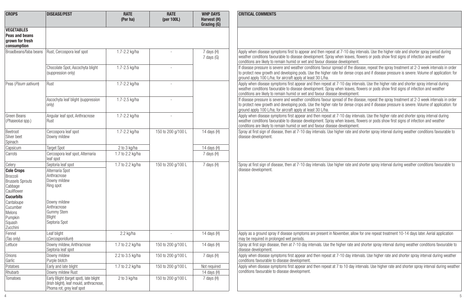| <b>CROPS</b>                                                                                                                                                                          | <b>DISEASE/PEST</b>                                                                                                                                       | <b>RATE</b><br>(Per ha) | <b>RATE</b><br>(per 100L) | <b>WHP DAYS</b><br>Harvest (H)<br>Grazing (G) | <b>CRITICAL COMMENTS</b>                                                                                                                                                                                                                                                                                                                                     |
|---------------------------------------------------------------------------------------------------------------------------------------------------------------------------------------|-----------------------------------------------------------------------------------------------------------------------------------------------------------|-------------------------|---------------------------|-----------------------------------------------|--------------------------------------------------------------------------------------------------------------------------------------------------------------------------------------------------------------------------------------------------------------------------------------------------------------------------------------------------------------|
| <b>VEGETABLES</b><br>Peas and beans<br>grown for fresh<br>consumption                                                                                                                 |                                                                                                                                                           |                         |                           |                                               |                                                                                                                                                                                                                                                                                                                                                              |
| Broadbeans/faba beans                                                                                                                                                                 | Rust. Cercospora leaf spot                                                                                                                                | 1.7-2.2 kg/ha           |                           | 7 days (H)<br>7 days (G)                      | Apply when disease symptoms first to appear and then repeat at 7-10 day intervals. Use the higher rate and shorter spray period during<br>weather conditions favourable to disease development. Spray when leaves, flowers or pods show first signs of infection and weather<br>conditions are likely to remain humid or wet and favour disease development. |
|                                                                                                                                                                                       | Chocolate Spot, Ascochyta blight<br>(suppression only)                                                                                                    | 1.7-2.5 kg/ha           |                           |                                               | If disease pressure is severe and weather conditions favour spread of the disease, repeat the spray treatment at 2-3 week intervals in order<br>to protect new growth and developing pods. Use the higher rate for dense crops and if disease pressure is severe. Volume of application: for<br>ground apply 100 L/ha; for aircraft apply at least 30 L/ha.  |
| Peas (Pisum sativum)                                                                                                                                                                  | Rust                                                                                                                                                      | 1.7-2.2 kg/ha           | $\sim$                    |                                               | Apply when disease symptoms first appear and then repeat at 7-10 day intervals. Use the higher rate and shorter spray interval during<br>weather conditions favourable to disease development. Spray when leaves, flowers or pods show first signs of infection and weather<br>conditions are likely to remain humid or wet and favour disease development.  |
|                                                                                                                                                                                       | Ascochyta leaf blight (suppression<br>only)                                                                                                               | 1.7-2.5 kg/ha           |                           |                                               | If disease pressure is severe and weather conditions favour spread of the disease, repeat the spray treatment at 2-3 week intervals in order<br>to protect new growth and developing pods. Use the higher rate for dense crops and if disease pressure is severe. Volume of application: for<br>ground apply 100 L/ha; for aircraft apply at least 30 L/ha.  |
| Green Beans<br>(Phaseolus spp.)                                                                                                                                                       | Angular leaf spot, Anthracnose<br>Rust                                                                                                                    | 1.7-2.2 kg/ha           |                           |                                               | Apply when disease symptoms first appear and then repeat at 7-10 day intervals. Use the higher rate and shorter spray interval during<br>weather conditions favourable to disease development. Spray when leaves, flowers or pods show first signs of infection and weather<br>conditions are likely to remain humid or wet and favour disease development.  |
| Beetroot<br>Silver beet<br>Spinach                                                                                                                                                    | Cercospora leaf spot<br>Downy mildew                                                                                                                      | 1.7-2.2 kg/ha           | 150 to 200 g/100 L        | 14 days (H)                                   | Spray at first sign of disease, then at 7-10 day intervals. Use higher rate and shorter spray interval during weather conditions favourable to<br>disease development.                                                                                                                                                                                       |
| Capsicum                                                                                                                                                                              | <b>Target Spot</b>                                                                                                                                        | 2 to 3 kg/ha            |                           | 14 days (H)                                   |                                                                                                                                                                                                                                                                                                                                                              |
| Carrots                                                                                                                                                                               | Cercospora leaf spot, Alternaria<br>leaf spot                                                                                                             | 1.7 to 2.2 kg/ha        |                           | 7 days (H)                                    |                                                                                                                                                                                                                                                                                                                                                              |
| Celery<br><b>Cole Crops</b><br>Broccoli<br><b>Brussels Sprouts</b><br>Cabbage<br>Cauliflower<br><b>Cucurbits</b><br>Cantaloupe<br>Cucumber<br>Melons<br>Pumpkin<br>Squash<br>Zucchini | Septoria leaf spot<br>Alternaria Spot<br>Anthracnose<br>Downy mildew<br>Ring spot<br>Downy mildew<br>Anthracnose<br>Gummy Stem<br>Bliaht<br>Septoria Spot | 1.7 to 2.2 kg/ha        | 150 to 200 g/100 L        | 7 days (H)                                    | Spray at first sign of disease, then at 7-10 day intervals. Use higher rate and shorter spray interval during weather conditions favourable to<br>disease development.                                                                                                                                                                                       |
| Fennel<br>(Tas only)                                                                                                                                                                  | Leaf blight<br>(Cercosporidium)                                                                                                                           | 2.2 kg/ha               | $\sim$                    | 14 days (H)                                   | Apply as a ground spray if disease symptoms are present in November, allow for one repeat treatment 10-14 days later. Aerial application<br>may be required in prolonged wet periods.                                                                                                                                                                        |
| Lettuce                                                                                                                                                                               | Downy mildew. Anthracnose<br>Septoria leaf spot                                                                                                           | 1.7 to 2.2 kg/ha        | 150 to 200 g/100 L        | 14 days (H)                                   | Spray at first sign disease, then at 7-10 day intervals. Use the higher rate and shorter spray interval during weather conditions favourable to<br>disease development.                                                                                                                                                                                      |
| Onions<br>Garlic                                                                                                                                                                      | Downy mildew<br>Purple blotch                                                                                                                             | 2.2 to 3.5 kg/ha        | 150 to 200 g/100 L        | 7 days (H)                                    | Apply when disease symptoms first appear and then repeat at 7-10 day intervals. Use higher rate and shorter spray interval during weather<br>conditions favourable to disease development.                                                                                                                                                                   |
| Potatoes                                                                                                                                                                              | Early and late blight                                                                                                                                     | 1.7 to 2.2 kg/ha        | 150 to 200 g/100 L        | Not required                                  | Apply when disease symptoms first appear and then repeat at 7 to 10 day intervals. Use higher rate and shorter spray interval during weather                                                                                                                                                                                                                 |
| Rhubarb                                                                                                                                                                               | Downy mildew Rust                                                                                                                                         |                         |                           | 14 days (H)                                   | conditions favourable to disease development.                                                                                                                                                                                                                                                                                                                |
| Tomatoes                                                                                                                                                                              | Early Blight (target spot), late blight<br>(Irish blight), leaf mould, anthracnose,<br>Phoma rot, grey leaf spot                                          | 2 to 3 kg/ha            | 150 to 200 g/100 L        | 7 days (H)                                    |                                                                                                                                                                                                                                                                                                                                                              |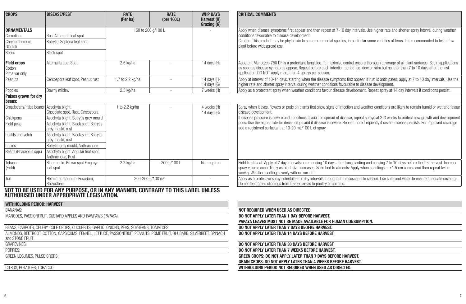| <b>CROPS</b>                       | <b>DISEASE/PEST</b>                                                                                                          | <b>RATE</b><br>(Per ha)      | <b>RATE</b><br>(per $100L$ ) | <b>WHP DAYS</b><br>Harvest (H)<br>Grazing (G) | <b>CRITICAL COMMENTS</b>                                                                                                                                                                                                                                                            |
|------------------------------------|------------------------------------------------------------------------------------------------------------------------------|------------------------------|------------------------------|-----------------------------------------------|-------------------------------------------------------------------------------------------------------------------------------------------------------------------------------------------------------------------------------------------------------------------------------------|
| <b>ORNAMENTALS</b>                 |                                                                                                                              | 150 to 200 a/100 L           |                              |                                               | Apply when disease symptoms first appear and then repeat at 7-10 day intervals. Use higher rate and shorter spray interval during weather                                                                                                                                           |
| Carnations                         | Rust Alternaria leaf spot                                                                                                    |                              |                              |                                               | conditions favourable to disease development.                                                                                                                                                                                                                                       |
| Chrysanthemum,<br>Gladioli         | Botrytis, Septoria leaf spot                                                                                                 |                              |                              |                                               | Caution: This product may be phytotoxic to some ornamental species, in particular some varieties of ferns, It is recommended to test a few<br>plant before widespread use.                                                                                                          |
| Roses                              | <b>Black spot</b>                                                                                                            |                              |                              |                                               |                                                                                                                                                                                                                                                                                     |
| <b>Field crops</b>                 | Alternaria Leaf Spot                                                                                                         | 2.5 kg/ha                    |                              | 14 days (H)                                   | Apparent Mancozeb 750 DF is a protectant fungicide. To maximise control ensure thorough coverage of all plant surfaces. Begin applications                                                                                                                                          |
| Cotton                             |                                                                                                                              |                              |                              |                                               | as soon as disease symptoms appear. Repeat before each infection period (eq. dew or rain) but no later than 7 to 10 days after the last                                                                                                                                             |
| Pima var only                      |                                                                                                                              |                              |                              |                                               | application. DO NOT apply more than 4 sprays per season.                                                                                                                                                                                                                            |
| Peanuts                            | Cercospora leaf spot, Peanut rust                                                                                            | 1.7 to 2.2 kg/ha             | ä,                           | 14 days (H)<br>14 days (G)                    | Apply at interval of 10-14 days, starting when the disease symptoms first appear. If rust is anticipated, apply at 7 to 10 day intervals. Use the<br>higher rate and shorter spray interval during weather conditions favourable to disease development.                            |
| Poppies                            | Downy mildew                                                                                                                 | 2.5 kg/ha                    | $\sim$                       | 7 weeks (H)                                   | Apply as a protectant spray when weather conditions favour disease development. Repeat spray at 14 day intervals if conditions persist.                                                                                                                                             |
| Pulses grown for dry<br>beans:     |                                                                                                                              |                              |                              |                                               |                                                                                                                                                                                                                                                                                     |
| Broadbeans/ faba beans             | Ascohyta blight,<br>Chocolate spot, Rust, Cercospora                                                                         | 1 to 2.2 kg/ha               |                              | 4 weeks (H)<br>14 days (G)                    | Spray when leaves, flowers or pods on plants first show signs of infection and weather conditions are likely to remain humid or wet and favour<br>disease development.                                                                                                              |
| Chickpeas                          | Ascohyta blight, Botrytis grey mould                                                                                         |                              |                              |                                               | If disease pressure is severe and conditions favour the spread of disease, repeat sprays at 2-3 weeks to protect new growth and development                                                                                                                                         |
| Field peas                         | Ascohyta blight, Black spot, Botrytis<br>grey mould, rust                                                                    |                              |                              |                                               | pods. Use the higher rate for dense crops and if disease is severe. Repeat more frequently if severe disease persists. For improved coverage<br>add a registered surfactant at 10-20 mL/100 L of spray.                                                                             |
| Lentils and vetch                  | Ascohyta blight, Black spot, Botrytis<br>arev mould, rust                                                                    |                              |                              |                                               |                                                                                                                                                                                                                                                                                     |
| Lupins                             | Botrytis grey mould, Anthracnose                                                                                             |                              |                              |                                               |                                                                                                                                                                                                                                                                                     |
| Beans (Phaseolus spp.)             | Ascohyta blight, Angular leaf spot,<br>Anthracnose, Rust                                                                     |                              |                              |                                               |                                                                                                                                                                                                                                                                                     |
| Tobacco<br>(Field)                 | Blue mould, Brown spot Frog eye<br>leaf spot                                                                                 | 2.2 kg/ha                    | 200 g/100 L                  | Not required                                  | Field Treatment: Apply at 7 day intervals commencing 10 days after transplanting and ceasing 7 to 10 days before the first harvest. Increase<br>spray volume accordingly as plant size increases. Seed bed treatments: Apply when seedlings are 1.5 cm across and then repeat twice |
|                                    |                                                                                                                              |                              |                              |                                               | weekly. Wet the seedlings evenly without run-off.                                                                                                                                                                                                                                   |
| Turf                               | Helmintho-sporium, Fusarium,<br>Rhizoctonia                                                                                  | 200-250 g/100 m <sup>2</sup> |                              |                                               | Apply as a protective spray schedule at 7 day intervals throughout the susceptible season. Use sufficient water to ensure adequate coverage.<br>Do not feed grass clippings from treated areas to poultry or animals.                                                               |
|                                    | NOT TO BE USED FOR ANY PURPOSE, OR IN ANY MANNER, CONTRARY TO THIS LABEL UNLESS<br>Authorised under appropriate legislation. |                              |                              |                                               |                                                                                                                                                                                                                                                                                     |
| <b>WITHHOLDING PERIOD: HARVEST</b> |                                                                                                                              |                              |                              |                                               |                                                                                                                                                                                                                                                                                     |
| <b>BANANAS:</b>                    |                                                                                                                              |                              |                              |                                               | NOT REQUIRED WHEN USED AS DIRECTED.                                                                                                                                                                                                                                                 |
|                                    | MANGOES, PASSIONFRUIT, CUSTARD APPLES AND PAWPAWS (PAPAYA)                                                                   |                              |                              |                                               | DO NOT APPLY LATER THAN 1 DAY BEFORE HARVEST.<br>PAPAYA LEAVES MUST NOT BE MADE AVAILABLE FOR HUMAN CONSUMPTION.                                                                                                                                                                    |
|                                    | BEANS, CARROTS, CELERY, COLE CROPS, CUCURBITS, GARLIC, ONIONS, PEAS, SOYBEANS, TOMATOES;                                     |                              |                              |                                               | DO NOT APPLY LATER THAN 7 DAYS BEOFRE HARVEST.                                                                                                                                                                                                                                      |
| and STONE FRUIT                    | ALMONDS, BEETROOT, COTTON, CAPSICUMS, FENNEL, LETTUCE, PASSIONFRUIT, PEANUTS, POME FRUIT, RHUBARB, SILVERBEET, SPINACH       |                              |                              |                                               | DO NOT APPLY LATER THAN 14 DAYS BEFORE HARVEST.                                                                                                                                                                                                                                     |
| <b>GRAPEVINES:</b>                 |                                                                                                                              |                              |                              |                                               | DO NOT APPLY LATER THAN 30 DAYS BEFORE HARVEST.                                                                                                                                                                                                                                     |
| POPPIES:                           |                                                                                                                              |                              |                              |                                               | DO NOT APPLY LATER THAN 7 WEEKS BEFORE HARVEST.                                                                                                                                                                                                                                     |
| GREEN LEGUMES. PULSE CROPS:        |                                                                                                                              |                              |                              |                                               | GREEN CROPS: DO NOT APPLY LATER THAN 7 DAYS BEFORE HARVEST.                                                                                                                                                                                                                         |
|                                    |                                                                                                                              |                              |                              |                                               | <b>GRAIN CROPS: DO NOT APPLY LATER THAN 4 WEEKS BEFORE HARVEST.</b>                                                                                                                                                                                                                 |
| CITRUS, POTATOES, TOBACCO          |                                                                                                                              |                              |                              |                                               | WITHHOLDING PERIOD NOT REQUIRED WHEN USED AS DIRECTED.                                                                                                                                                                                                                              |
|                                    |                                                                                                                              |                              |                              |                                               |                                                                                                                                                                                                                                                                                     |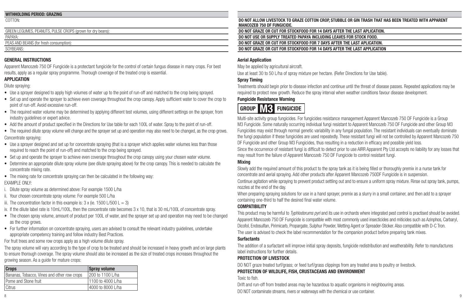### **WITHHOLDING PERIOD: GRAZING**

#### **GENERAL INSTRUCTIONS**

Apparent Mancozeb 750 DF Fungicide is a protectant fungicide for the control of certain fungus disease in many crops. For best results, apply as a regular spray programme. Thorough coverage of the treated crop is essential.

#### **APPLICATION**

Dilute spraying:

- Use a sprayer designed to apply high volumes of water up to the point of run-off and matched to the crop being sprayed.
- Set up and operate the sprayer to achieve even coverage throughout the crop canopy. Apply sufficient water to cover the crop to point of run-off. Avoid excessive run-off.
- The required water volume may be determined by applying different test volumes, using different settings on the sprayer, from industry guidelines or expert advice.
- Add the amount of product specified in the Directions for Use table for each 100L of water. Spray to the point of run-off.
- The required dilute spray volume will change and the sprayer set up and operation may also need to be changed, as the crop grows. Concentrate spraying:
- Use a sprayer designed and set up for concentrate spraying (that is a sprayer which applies water volumes less than those required to reach the point of run-off) and matched to the crop being sprayed.
- Set up and operate the sprayer to achieve even coverage throughout the crop canopy using your chosen water volume.
- Determine an appropriate dilute spray volume (see dilute spraying above) for the crop canopy. This is needed to calculate the concentrate mixing rate.
- The mixing rate for concentrate spraying can then be calculated in the following way: EXAMPLE ONLY:
- i. Dilute spray volume as determined above: For example 1500 L/ha
- ii. Your chosen concentrate spray volume: For example 500 L/ha
- iii. The concentration factor in this example is:  $3 \times$  (ie. 1500 L/500 L = 3)
- iv. If the dilute label rate is 10mL/100L, then the concentrate rate becomes 3 x 10, that is 30 mL/100L of concentrate spray.
- The chosen spray volume, amount of product per 100L of water, and the sprayer set up and operation may need to be changed as the crop grows.
- For further information on concentrate spraying, users are advised to consult the relevant industry guidelines, undertake appropriate competency training and follow industry Best Practices.

For fruit trees and some row crops apply as a high volume dilute spray.

The spray volume will vary according to the type of crop to be treated and should be increased in heavy growth and on large plants to ensure thorough coverage. The spray volume should also be increased as the size of treated crops increases throughout the growing season. As a guide for mature crops:

| <b>Crops</b>                                | <b>Spray volume</b> |
|---------------------------------------------|---------------------|
| Bananas, Tobacco, Vines and other row crops | 200 to 1100 L/ha    |
| Pome and Stone fruit                        | 1100 to 4000 L/ha   |
| Citrus                                      | 4000 to 8000 L/ha   |

DO NOT ALLOW LIVESTOCK TO GRAZE COTTON CROP, STUBBLE OR GIN TRASH THAT HAS BEEN TREATED WITH APPARENT **MANCOZEB 750 DF FUNGICIDE.**

#### GREEN LEGUMES, PEANUTS, PULSE CROPS (grown for dry beans): **DO NOT GRAZE OR CUT FOR STOCKFOOD FOR 14 DAYS AFTER THE LAST APLICATION.**

PAPAYA: **DO NOT USE OR SUPPLY TREATED PAPAYA INCLUDING LEAVES FOR STOCK FOOD.**

PEAS AND BEANS (for fresh consumption): **DO NOT GRAZE OR CUT FOR STOCKFOOD FOR 7 DAYS AFTER THE LAST APLICATION.**<br>Price and the stock for the stock for the state of the stock for the stock for the stock for the stock for t **DO NOT GRAZE OR CUT FOR STOCKFOOD FOR 14 DAYS AFTER THE LAST APPLICATION** 

#### **Aerial Application**

May be applied by agricultural aircraft.

Use at least 30 to 50 L/ha of spray mixture per hectare. (Refer Directions for Use table).

#### **Spray Timing**

Treatments should begin prior to disease infection and continue until the threat of disease passes. Repeated applications may be required to protect new growth. Reduce the spray interval when weather conditions favour disease development.

#### **Fungicide Resistance Warning**

## **GROUP M3 FUNGICIDE**

Multi-site activity group fungicides. For fungicides resistance management Apparent Mancozeb 750 DF Fungicide is a Group M3 Fungicide. Some naturally occurring individual fungi resistant to Apparent Mancozeb 750 DF Fungicide and other Group M3 Fungicides may exist through normal genetic variability in any fungal population. The resistant individuals can eventually dominate the fungi population if these fungicides are used repeatedly. These resistant fungi will not be controlled by Apparent Mancozeb 750 DF Fungicide and other Group M3 Fungicides, thus resulting in a reduction in efficacy and possible yield loss.

Since the occurrence of resistant fungi is difficult to detect prior to use AIRR Apparent Pty Ltd accepts no liability for any losses that may result from the failure of Apparent Mancozeb 750 DF Fungicide to control resistant fungi.

#### **Mixing**

Slowly add the required amount of this product to the spray tank as it is being filled or thoroughly premix in a nurse tank for concentrate and aerial spraying. Add other products after Apparent Mancozeb 750DF Fungicide is in suspension. Continue agitation while spraying to prevent product settling out and to ensure a uniform spray mixture. Rinse out spray tank, pumps,

nozzles at the end of the day.

When preparing spraying solutions for use in a hand sprayer, premix as a slurry in a small container, and then add to a sprayer containing one-third to half the desired final water volume.

#### **COMPATIBILITY**

This product may be harmful to *Typhlodorums pyri* and its use in orchards where integrated pest control is practised should be avoided. Apparent Mancozeb 750 DF Fungicide is compatible with most commonly used insecticides and miticides such as Azinphos, Carbaryl, Dicofol, Endosulfan, Pirimicarb, Propargate, Sulphur Powder, Wetting Agent or Spreader-Sticker. Also compatible with D-C Tron. The user is advised to check the label recommendation for the companion product before preparing tank mixes.

#### **Surfactants**

The addition of a surfactant will improve initial spray deposits, fungicide redistribution and weatherability. Refer to manufactures label instructions for further details.

#### **PROTECTION OF LIVESTOCK**

DO NOT graze treated turf/grass; or feed turf/grass clippings from any treated area to poultry or livestock.

#### **PROTECTION OF WILDLIFE, FISH, CRUSTACEANS AND ENVIRONMENT**

Toxic to fish.

Drift and run-off from treated areas may be hazardous to aquatic organisms in neighbouring areas.

8 9 DO NOT contaminate streams, rivers or waterways with the chemical or use container.